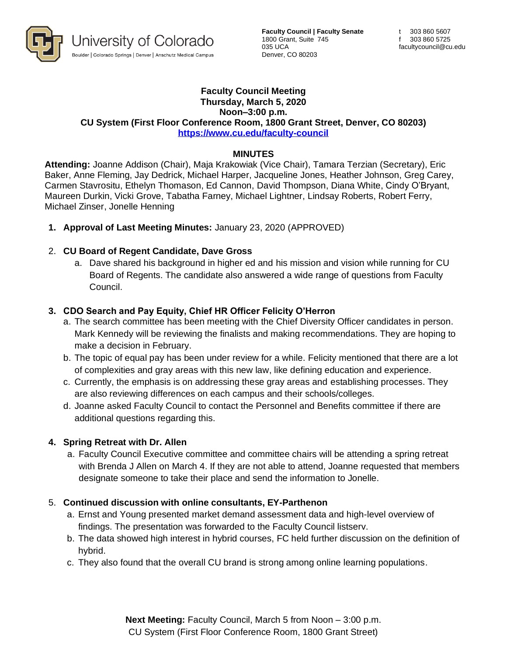

**Faculty Council | Faculty Senate** 1800 Grant, Suite 745 035 UCA Denver, CO 80203

#### **Faculty Council Meeting Thursday, March 5, 2020 Noon–3:00 p.m. CU System (First Floor Conference Room, 1800 Grant Street, Denver, CO 80203) <https://www.cu.edu/faculty-council>**

### **MINUTES**

**Attending:** Joanne Addison (Chair), Maja Krakowiak (Vice Chair), Tamara Terzian (Secretary), Eric Baker, Anne Fleming, Jay Dedrick, Michael Harper, Jacqueline Jones, Heather Johnson, Greg Carey, Carmen Stavrositu, Ethelyn Thomason, Ed Cannon, David Thompson, Diana White, Cindy O'Bryant, Maureen Durkin, Vicki Grove, Tabatha Farney, Michael Lightner, Lindsay Roberts, Robert Ferry, Michael Zinser, Jonelle Henning

**1. Approval of Last Meeting Minutes:** January 23, 2020 (APPROVED)

### 2. **CU Board of Regent Candidate, Dave Gross**

a. Dave shared his background in higher ed and his mission and vision while running for CU Board of Regents. The candidate also answered a wide range of questions from Faculty Council.

### **3. CDO Search and Pay Equity, Chief HR Officer Felicity O'Herron**

- a. The search committee has been meeting with the Chief Diversity Officer candidates in person. Mark Kennedy will be reviewing the finalists and making recommendations. They are hoping to make a decision in February.
- b. The topic of equal pay has been under review for a while. Felicity mentioned that there are a lot of complexities and gray areas with this new law, like defining education and experience.
- c. Currently, the emphasis is on addressing these gray areas and establishing processes. They are also reviewing differences on each campus and their schools/colleges.
- d. Joanne asked Faculty Council to contact the Personnel and Benefits committee if there are additional questions regarding this.

#### **4. Spring Retreat with Dr. Allen**

a. Faculty Council Executive committee and committee chairs will be attending a spring retreat with Brenda J Allen on March 4. If they are not able to attend, Joanne requested that members designate someone to take their place and send the information to Jonelle.

#### 5. **Continued discussion with online consultants, EY-Parthenon**

- a. Ernst and Young presented market demand assessment data and high-level overview of findings. The presentation was forwarded to the Faculty Council listserv.
- b. The data showed high interest in hybrid courses, FC held further discussion on the definition of hybrid.
- c. They also found that the overall CU brand is strong among online learning populations.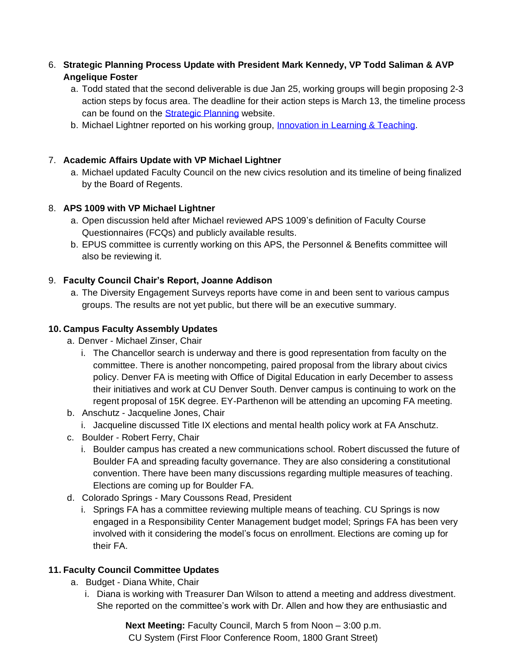# 6. **Strategic Planning Process Update with President Mark Kennedy, VP Todd Saliman & AVP Angelique Foster**

- a. Todd stated that the second deliverable is due Jan 25, working groups will begin proposing 2-3 action steps by focus area. The deadline for their action steps is March 13, the timeline process can be found on the **Strategic Planning** website.
- b. Michael Lightner reported on his working group, [Innovation in Learning & Teaching.](https://www.cu.edu/strategic-planning/innovation-learning-and-teaching)

# 7. **Academic Affairs Update with VP Michael Lightner**

a. Michael updated Faculty Council on the new civics resolution and its timeline of being finalized by the Board of Regents.

# 8. **APS 1009 with VP Michael Lightner**

- a. Open discussion held after Michael reviewed APS 1009's definition of Faculty Course Questionnaires (FCQs) and publicly available results.
- b. EPUS committee is currently working on this APS, the Personnel & Benefits committee will also be reviewing it.

# 9. **Faculty Council Chair's Report, Joanne Addison**

a. The Diversity Engagement Surveys reports have come in and been sent to various campus groups. The results are not yet public, but there will be an executive summary.

### **10. Campus Faculty Assembly Updates**

- a. Denver Michael Zinser, Chair
	- i. The Chancellor search is underway and there is good representation from faculty on the committee. There is another noncompeting, paired proposal from the library about civics policy. Denver FA is meeting with Office of Digital Education in early December to assess their initiatives and work at CU Denver South. Denver campus is continuing to work on the regent proposal of 15K degree. EY-Parthenon will be attending an upcoming FA meeting.
- b. Anschutz Jacqueline Jones, Chair
	- i. Jacqueline discussed Title IX elections and mental health policy work at FA Anschutz.
- c. Boulder Robert Ferry, Chair
	- i. Boulder campus has created a new communications school. Robert discussed the future of Boulder FA and spreading faculty governance. They are also considering a constitutional convention. There have been many discussions regarding multiple measures of teaching. Elections are coming up for Boulder FA.
- d. Colorado Springs Mary Coussons Read, President
	- i. Springs FA has a committee reviewing multiple means of teaching. CU Springs is now engaged in a Responsibility Center Management budget model; Springs FA has been very involved with it considering the model's focus on enrollment. Elections are coming up for their FA.

# **11. Faculty Council Committee Updates**

- a. Budget Diana White, Chair
	- i. Diana is working with Treasurer Dan Wilson to attend a meeting and address divestment. She reported on the committee's work with Dr. Allen and how they are enthusiastic and

**Next Meeting:** Faculty Council, March 5 from Noon – 3:00 p.m. CU System (First Floor Conference Room, 1800 Grant Street)